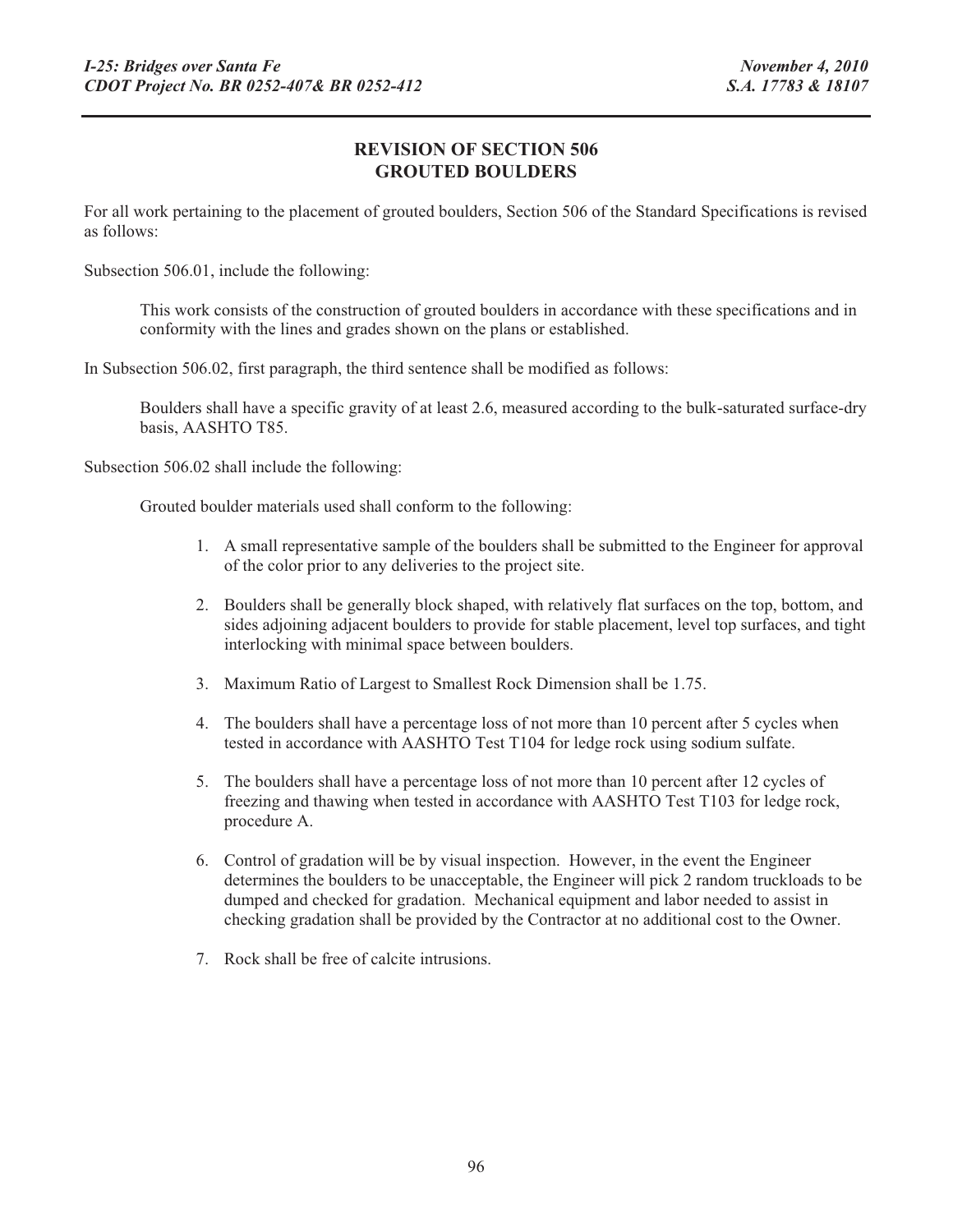## **REVISION OF SECTION 506 GROUTED BOULDERS**

For all work pertaining to the placement of grouted boulders, Section 506 of the Standard Specifications is revised as follows:

Subsection 506.01, include the following:

This work consists of the construction of grouted boulders in accordance with these specifications and in conformity with the lines and grades shown on the plans or established.

In Subsection 506.02, first paragraph, the third sentence shall be modified as follows:

Boulders shall have a specific gravity of at least 2.6, measured according to the bulk-saturated surface-dry basis, AASHTO T85.

Subsection 506.02 shall include the following:

Grouted boulder materials used shall conform to the following:

- 1. A small representative sample of the boulders shall be submitted to the Engineer for approval of the color prior to any deliveries to the project site.
- 2. Boulders shall be generally block shaped, with relatively flat surfaces on the top, bottom, and sides adjoining adjacent boulders to provide for stable placement, level top surfaces, and tight interlocking with minimal space between boulders.
- 3. Maximum Ratio of Largest to Smallest Rock Dimension shall be 1.75.
- 4. The boulders shall have a percentage loss of not more than 10 percent after 5 cycles when tested in accordance with AASHTO Test T104 for ledge rock using sodium sulfate.
- 5. The boulders shall have a percentage loss of not more than 10 percent after 12 cycles of freezing and thawing when tested in accordance with AASHTO Test T103 for ledge rock, procedure A.
- 6. Control of gradation will be by visual inspection. However, in the event the Engineer determines the boulders to be unacceptable, the Engineer will pick 2 random truckloads to be dumped and checked for gradation. Mechanical equipment and labor needed to assist in checking gradation shall be provided by the Contractor at no additional cost to the Owner.
- 7. Rock shall be free of calcite intrusions.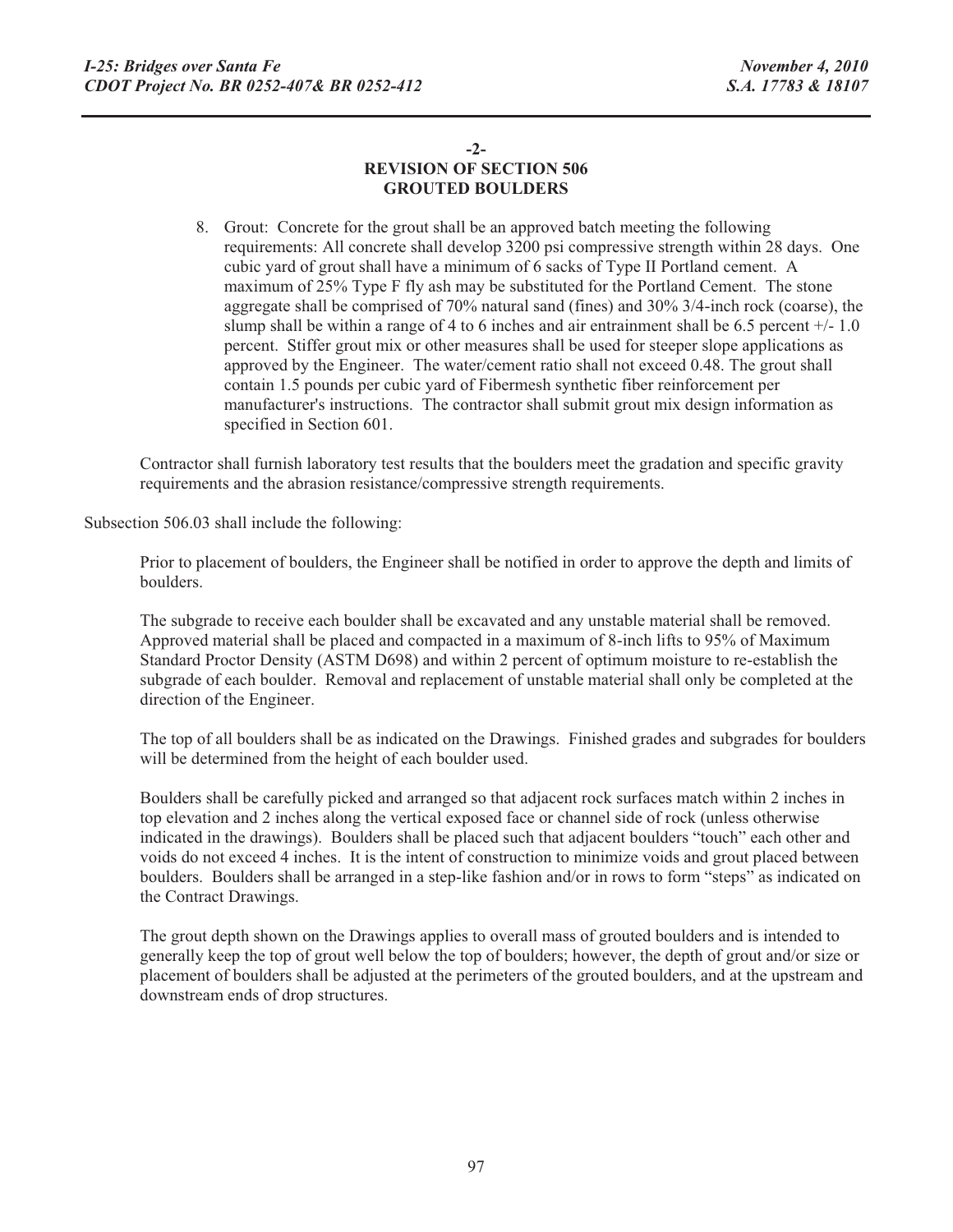## **-2- REVISION OF SECTION 506 GROUTED BOULDERS**

8. Grout: Concrete for the grout shall be an approved batch meeting the following requirements: All concrete shall develop 3200 psi compressive strength within 28 days. One cubic yard of grout shall have a minimum of 6 sacks of Type II Portland cement. A maximum of 25% Type F fly ash may be substituted for the Portland Cement. The stone aggregate shall be comprised of 70% natural sand (fines) and 30% 3/4-inch rock (coarse), the slump shall be within a range of 4 to 6 inches and air entrainment shall be 6.5 percent +/- 1.0 percent. Stiffer grout mix or other measures shall be used for steeper slope applications as approved by the Engineer. The water/cement ratio shall not exceed 0.48. The grout shall contain 1.5 pounds per cubic yard of Fibermesh synthetic fiber reinforcement per manufacturer's instructions. The contractor shall submit grout mix design information as specified in Section 601.

Contractor shall furnish laboratory test results that the boulders meet the gradation and specific gravity requirements and the abrasion resistance/compressive strength requirements.

Subsection 506.03 shall include the following:

Prior to placement of boulders, the Engineer shall be notified in order to approve the depth and limits of boulders.

The subgrade to receive each boulder shall be excavated and any unstable material shall be removed. Approved material shall be placed and compacted in a maximum of 8-inch lifts to 95% of Maximum Standard Proctor Density (ASTM D698) and within 2 percent of optimum moisture to re-establish the subgrade of each boulder. Removal and replacement of unstable material shall only be completed at the direction of the Engineer.

The top of all boulders shall be as indicated on the Drawings. Finished grades and subgrades for boulders will be determined from the height of each boulder used.

Boulders shall be carefully picked and arranged so that adjacent rock surfaces match within 2 inches in top elevation and 2 inches along the vertical exposed face or channel side of rock (unless otherwise indicated in the drawings). Boulders shall be placed such that adjacent boulders "touch" each other and voids do not exceed 4 inches. It is the intent of construction to minimize voids and grout placed between boulders. Boulders shall be arranged in a step-like fashion and/or in rows to form "steps" as indicated on the Contract Drawings.

The grout depth shown on the Drawings applies to overall mass of grouted boulders and is intended to generally keep the top of grout well below the top of boulders; however, the depth of grout and/or size or placement of boulders shall be adjusted at the perimeters of the grouted boulders, and at the upstream and downstream ends of drop structures.